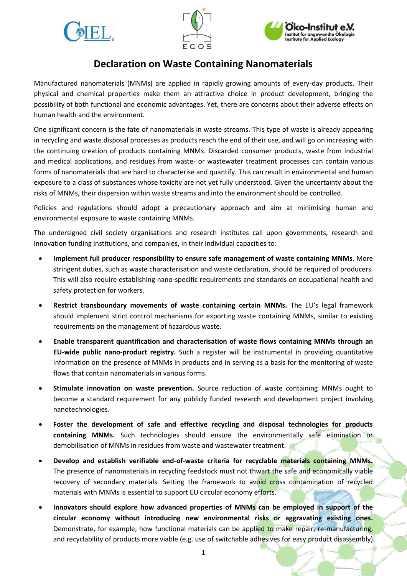





# **Declaration on Waste Containing Nanomaterials**

Manufactured nanomaterials (MNMs) are applied in rapidly growing amounts of every-day products. Their physical and chemical properties make them an attractive choice in product development, bringing the possibility of both functional and economic advantages. Yet, there are concerns about their adverse effects on human health and the environment.

One significant concern is the fate of nanomaterials in waste streams. This type of waste is already appearing in recycling and waste disposal processes as products reach the end of their use, and will go on increasing with the continuing creation of products containing MNMs. Discarded consumer products, waste from industrial and medical applications, and residues from waste- or wastewater treatment processes can contain various forms of nanomaterials that are hard to characterise and quantify. This can result in environmental and human exposure to a class of substances whose toxicity are not yet fully understood. Given the uncertainty about the risks of MNMs, their dispersion within waste streams and into the environment should be controlled.

Policies and regulations should adopt a precautionary approach and aim at minimising human and environmental exposure to waste containing MNMs.

The undersigned civil society organisations and research institutes call upon governments, research and innovation funding institutions, and companies, in their individual capacities to:

- **Implement full producer responsibility to ensure safe management of waste containing MNMs**. More stringent duties, such as waste characterisation and waste declaration, should be required of producers. This will also require establishing nano-specific requirements and standards on occupational health and safety protection for workers.
- **Restrict transboundary movements of waste containing certain MNMs.** The EU's legal framework should implement strict control mechanisms for exporting waste containing MNMs, similar to existing requirements on the management of hazardous waste.
- **Enable transparent quantification and characterisation of waste flows containing MNMs through an EU-wide public nano-product registry.** Such a register will be instrumental in providing quantitative information on the presence of MNMs in products and in serving as a basis for the monitoring of waste flows that contain nanomaterials in various forms.
- **Stimulate innovation on waste prevention.** Source reduction of waste containing MNMs ought to become a standard requirement for any publicly funded research and development project involving nanotechnologies.
- **Foster the development of safe and effective recycling and disposal technologies for products containing MNMs.** Such technologies should ensure the environmentally safe elimination or demobilisation of MNMs in residues from waste and wastewater treatment.
- **Develop and establish verifiable end-of-waste criteria for recyclable materials containing MNMs.**  The presence of nanomaterials in recycling feedstock must not thwart the safe and economically viable recovery of secondary materials. Setting the framework to avoid cross contamination of recycled materials with MNMs is essential to support EU circular economy efforts.
- **Innovators should explore how advanced properties of MNMs can be employed in support of the circular economy without introducing new environmental risks or aggravating existing ones.**  Demonstrate, for example, how functional materials can be applied to make repair, re-manufacturing, and recyclability of products more viable (e.g. use of switchable adhesives for easy product disassembly).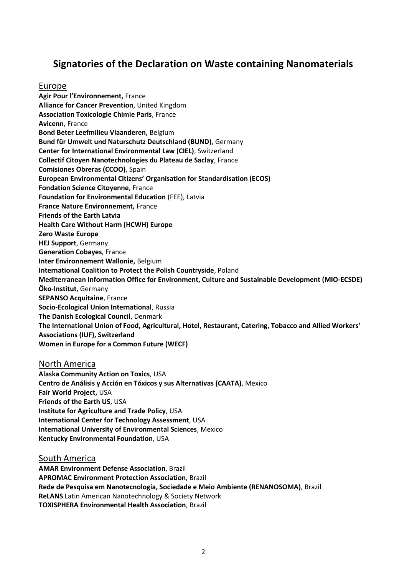## **Signatories of the Declaration on Waste containing Nanomaterials**

#### Europe

**Agir Pour l'Environnement,** France **Alliance for Cancer Prevention**, United Kingdom **Association Toxicologie Chimie Paris**, France **Avicenn**, France **Bond Beter Leefmilieu Vlaanderen,** Belgium **Bund für Umwelt und Naturschutz Deutschland (BUND)**, Germany **Center for International Environmental Law (CIEL)**, Switzerland **Collectif Citoyen Nanotechnologies du Plateau de Saclay**, France **Comisiones Obreras (CCOO)**, Spain **European Environmental Citizens' Organisation for Standardisation (ECOS) Fondation Science Citoyenne**, France **Foundation for Environmental Education** (FEE), Latvia **France Nature Environnement,** France **Friends of the Earth Latvia Health Care Without Harm (HCWH) Europe Zero Waste Europe HEJ Support**, Germany **Generation Cobayes**, France **Inter Environnement Wallonie,** Belgium **International Coalition to Protect the Polish Countryside**, Poland **Mediterranean Information Office for Environment, Culture and Sustainable Development (MIO-ECSDE) Öko-Institut**, Germany **SEPANSO Acquitaine**, France **Socio-Ecological Union International**, Russia **The Danish Ecological Council**, Denmark **The International Union of Food, Agricultural, Hotel, Restaurant, Catering, Tobacco and Allied Workers' Associations (IUF), Switzerland Women in Europe for a Common Future (WECF)** 

North America **[Alaska Community Action on Toxics](http://www.akaction.org/)**, USA **Centro de Análisis y Acción en Tóxicos y sus Alternativas (CAATA)**, Mexico **Fair World Project,** USA **Friends of the Earth US**, USA **Institute for Agriculture and Trade Policy**, USA **International Center for Technology Assessment**, USA **International University of Environmental Sciences**, Mexico **Kentucky Environmental Foundation**, USA

#### South America

**AMAR Environment Defense Association**, Brazil **APROMAC Environment Protection Association**, Brazil **Rede de Pesquisa em Nanotecnologia, Sociedade e Meio Ambiente (RENANOSOMA)**, Brazil **ReLANS** Latin American Nanotechnology & Society Network **TOXISPHERA Environmental Health Association**, Brazil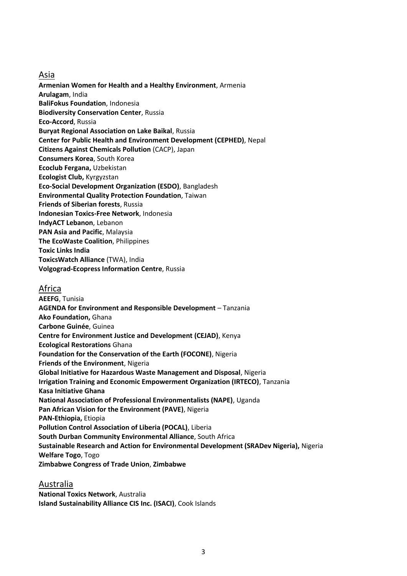Asia

**Armenian Women for Health and a Healthy Environment**, Armenia **Arulagam**, India **BaliFokus Foundation**, Indonesia **Biodiversity Conservation Center**, Russia **Eco-Accord**, Russia **Buryat Regional Association on Lake Baikal**, Russia **Center for Public Health and Environment Development (CEPHED)**, Nepal **Citizens Against Chemicals Pollution** (CACP), Japan **Consumers Korea**, South Korea **Ecoclub Fergana,** Uzbekistan **Ecologist Club,** Kyrgyzstan **Eco-Social Development Organization (ESDO)**, Bangladesh **Environmental Quality Protection Foundation**, Taiwan **Friends of Siberian forests**, Russia **Indonesian Toxics-Free Network**, Indonesia **IndyACT Lebanon**, Lebanon **PAN Asia and Pacific**, Malaysia **The EcoWaste Coalition**, Philippines **Toxic Links India ToxicsWatch Alliance** (TWA), India **Volgograd-Ecopress Information Centre**, Russia

### Africa

**AEEFG**, Tunisia **AGENDA for Environment and Responsible Development** – Tanzania **Ako Foundation,** Ghana **Carbone Guinée**, Guinea **Centre for Environment Justice and Development (CEJAD)**, Kenya **Ecological Restorations** Ghana **Foundation for the Conservation of the Earth (FOCONE)**, Nigeria **Friends of the Environment**, Nigeria **Global Initiative for Hazardous Waste Management and Disposal**, Nigeria **Irrigation Training and Economic Empowerment Organization (IRTECO)**, Tanzania **Kasa Initiative Ghana National Association of Professional Environmentalists (NAPE)**, Uganda **Pan African Vision for the Environment (PAVE)**, Nigeria **PAN-Ethiopia,** Etiopia **Pollution Control Association of Liberia (POCAL)**, Liberia **South Durban Community Environmental Alliance**, South Africa **Sustainable Research and Action for Environmental Development (SRADev Nigeria),** Nigeria **Welfare Togo**, Togo **Zimbabwe Congress of Trade Union**, **Zimbabwe** 

## Australia

**National Toxics Network**, Australia **Island Sustainability Alliance CIS Inc. (ISACI)**, Cook Islands